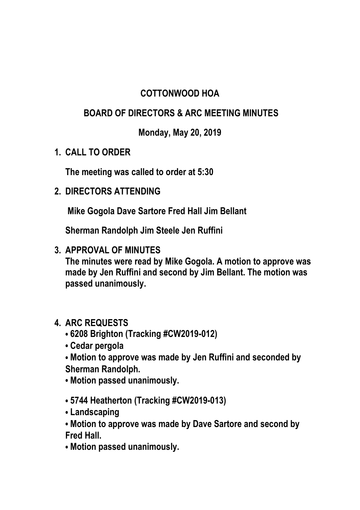## **COTTONWOOD HOA**

## **BOARD OF DIRECTORS & ARC MEETING MINUTES**

**Monday, May 20, 2019**

**1. CALL TO ORDER** 

**The meeting was called to order at 5:30** 

**2. DIRECTORS ATTENDING**

**Mike Gogola Dave Sartore Fred Hall Jim Bellant** 

**Sherman Randolph Jim Steele Jen Ruffini**

**3. APPROVAL OF MINUTES**

**The minutes were read by Mike Gogola. A motion to approve was made by Jen Ruffini and second by Jim Bellant. The motion was passed unanimously.**

## **4. ARC REQUESTS**

- **6208 Brighton (Tracking #CW2019-012)**
- **Cedar pergola**
- **Motion to approve was made by Jen Ruffini and seconded by Sherman Randolph.**
- **Motion passed unanimously.**
- **5744 Heatherton (Tracking #CW2019-013)**
- **Landscaping**
- **Motion to approve was made by Dave Sartore and second by Fred Hall.**
- **Motion passed unanimously.**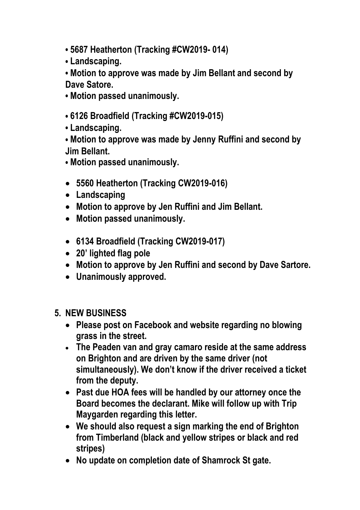- **5687 Heatherton (Tracking #CW2019- 014)**
- **Landscaping.**

**• Motion to approve was made by Jim Bellant and second by Dave Satore.**

**• Motion passed unanimously.** 

- **6126 Broadfield (Tracking #CW2019-015)**
- **Landscaping.**

**• Motion to approve was made by Jenny Ruffini and second by Jim Bellant.**

- **Motion passed unanimously.**
- **5560 Heatherton (Tracking CW2019-016)**
- **Landscaping**
- **Motion to approve by Jen Ruffini and Jim Bellant.**
- **Motion passed unanimously.**
- **6134 Broadfield (Tracking CW2019-017)**
- **20' lighted flag pole**
- **Motion to approve by Jen Ruffini and second by Dave Sartore.**
- **Unanimously approved.**
- **5. NEW BUSINESS** 
	- **Please post on Facebook and website regarding no blowing grass in the street.**
	- **The Peaden van and gray camaro reside at the same address on Brighton and are driven by the same driver (not simultaneously). We don't know if the driver received a ticket from the deputy.**
	- **Past due HOA fees will be handled by our attorney once the Board becomes the declarant. Mike will follow up with Trip Maygarden regarding this letter.**
	- **We should also request a sign marking the end of Brighton from Timberland (black and yellow stripes or black and red stripes)**
	- **No update on completion date of Shamrock St gate.**